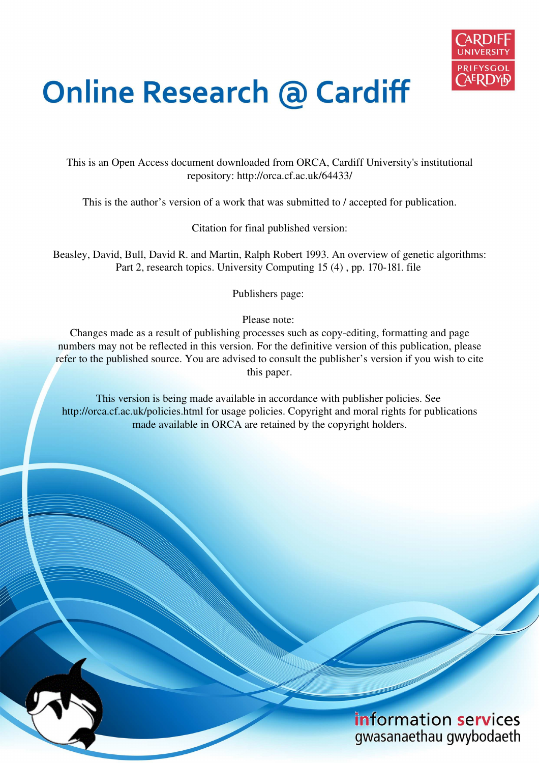

# **Online Research @ Cardiff**

This is an Open Access document downloaded from ORCA, Cardiff University's institutional repository: http://orca.cf.ac.uk/64433/

This is the author's version of a work that was submitted to / accepted for publication.

Citation for final published version:

Beasley, David, Bull, David R. and Martin, Ralph Robert 1993. An overview of genetic algorithms: Part 2, research topics. University Computing 15 (4) , pp. 170-181. file

Publishers page:

Please note:

Changes made as a result of publishing processes such as copy-editing, formatting and page numbers may not be reflected in this version. For the definitive version of this publication, please refer to the published source. You are advised to consult the publisher's version if you wish to cite this paper.

This version is being made available in accordance with publisher policies. See http://orca.cf.ac.uk/policies.html for usage policies. Copyright and moral rights for publications made available in ORCA are retained by the copyright holders.

# information services gwasanaethau gwybodaeth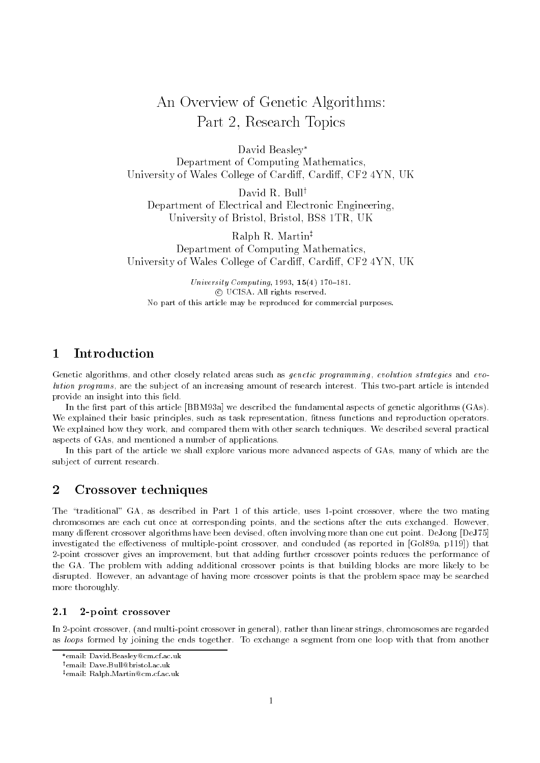## An Overview of Genetic Algorithms Part - Research Topics

David Beasley Department of Computing Mathematics University of Wales Contege of Cardinal Cardinal Cf--1 fitting Cardinal

David R. Bull<sup>†</sup> Department of Electrical and Electronic Engineering University of Britan Carl Britan Corp. Britan Britan University

Ralph R. Martin<sup>‡</sup> Department of Computing Mathematics University of Wales Contege of Cardinal Cardinal Cf--1 fitting Cardinal

University Computing Level 2012, 200 101 c UCISA All rights reserved No part of this article may be reproduced for commercial purposes

#### $\mathbf{1}$ Introduction

Genetic algorithms, and other closely related areas such as *genetic programming*, evolution strategies and evolution programs are the subject of an increasing amount of research interest This two-part article is intended provide an insight into this field.

In the first part of this article [BBM93a] we described the fundamental aspects of genetic algorithms  $(GAs)$ . We explained their basic principles, such as task representation, fitness functions and reproduction operators. We explained how they work, and compared them with other search techniques. We described several practical aspects of GAs, and mentioned a number of applications.

In this part of the article we shall explore various more advanced aspects of GAs, many of which are the subject of current research

## 2 Crossover techniques

the traditional gas, we have also an always to the where  $\alpha$  point the this contribution mathematic chromosomes are each cut once at corresponding points, and the sections after the cuts exchanged. However, many different crossover algorithms have been devised, often involving more than one cut point. DeJong [DeJ75] investigated the economic crossover and concluded as reported as reported as reported in Gola point  $\mathbb{R}^n$ -point crossover gives an improvement but that adding further crossover points reduces the performance of the GA The problem with adding additional crossover points is that building blocks are more likely to be disrupted. However, an advantage of having more crossover points is that the problem space may be searched more thoroughly

#### $2.1$ 2-point crossover

In -point crossover and multi-point crossover in general rather than linear strings chromosomes are regarded as loops formed by joining the ends together. To exchange a segment from one loop with that from another

email: David.beasley@cm.cl.ac.uk

email: Dave.bull@bristol.ac.uk -

<sup>&</sup>lt;code>remail: nalph</code> Martin<code>wcm.cl.ac.uk</code>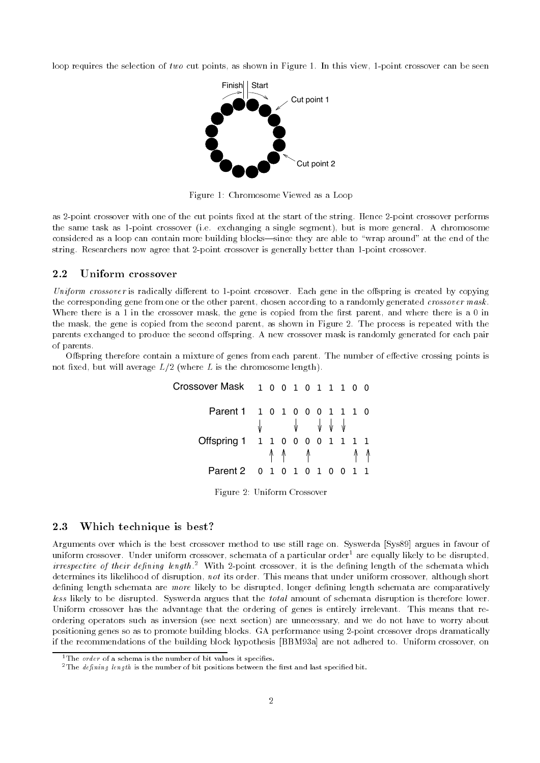loop requires the selection of two cut points as shown in Figure  In this view -point crossover can be seen



Figure 1: Chromosome Viewed as a Loop

as - point crossover with one of the cut points miles at the start of the start - point crossover performance the same task as -point crossover ie exchanging a single segment but is more general A chromosome considered as a loop can contained more building blocks. When they are able to the end of the end of the end o string researchers is a operatories of point crossovers in generally statute is point thanks that

#### $2.2$ Uniform crossover

Uniform crossover is radically di
erent to -point crossover Each gene in the o
spring is created by copying the corresponding gene from one or the other parent, chosen according to a randomly generated crossover mask. Where there is a 1 in the crossover mask, the gene is copied from the first parent, and where there is a 0 in the mask, the gene is copied from the second parent, as shown in Figure 2. The process is repeated with the parents exchanged to produce the second offspring. A new crossover mask is randomly generated for each pair of parents

Offspring therefore contain a mixture of genes from each parent. The number of effective crossing points is not fixed, but will average  $L/2$  (where L is the chromosome length).

| Crossover Mask 1001011100       |  |                                                                              |  |  |  |
|---------------------------------|--|------------------------------------------------------------------------------|--|--|--|
| Parent 1 1 0 1 0 0 0 1 1 1 0    |  | $\sqrt{2}$ $\sqrt{2}$ $\sqrt{2}$ $\sqrt{2}$ $\sqrt{2}$ $\sqrt{2}$ $\sqrt{2}$ |  |  |  |
| Offspring 1 1 1 0 0 0 0 1 1 1 1 |  | <u> ላላ</u> ላላ                                                                |  |  |  |
| Parent 2 0 1 0 1 0 1 0 0 1 1    |  |                                                                              |  |  |  |
|                                 |  |                                                                              |  |  |  |

Figure 2: Uniform Crossover

## 2.3 Which technique is best?

Arguments over which is the best crossover method to use still rage on. Syswerda [Sys89] argues in favour of uniform crossover. Under uniform crossover, schemata of a particular order- are equally likely to be disrupted,  $irrespective$   $of$  their defining tength  $\cdot$  with 2-point crossover, it is the denning length of the schemata which determines its likelihood of disruption, not its order. This means that under uniform crossover, although short defining length schemata are more likely to be disrupted, longer defining length schemata are comparatively less likely to be disrupted Syswerda argues that the total amount of schemata disruption is therefore lower  $U$  advantage that the advantage that the ordering of generalism is entirely if  $\alpha$ ordering operators such as inversion (see next section) are unnecessary, and we do not have to worry about positioning genes so as to promote building blocks GA performance using -point crossover drops dramatically if the recommendations of the building block hypothesis [BBM93a] are not adhered to. Uniform crossover, on

<sup>&</sup>lt;sup>1</sup>The *order* of a schema is the number of bit values it specifies.

<sup>&</sup>lt;sup>2</sup>The *defining length* is the number of bit positions between the first and last specified bit.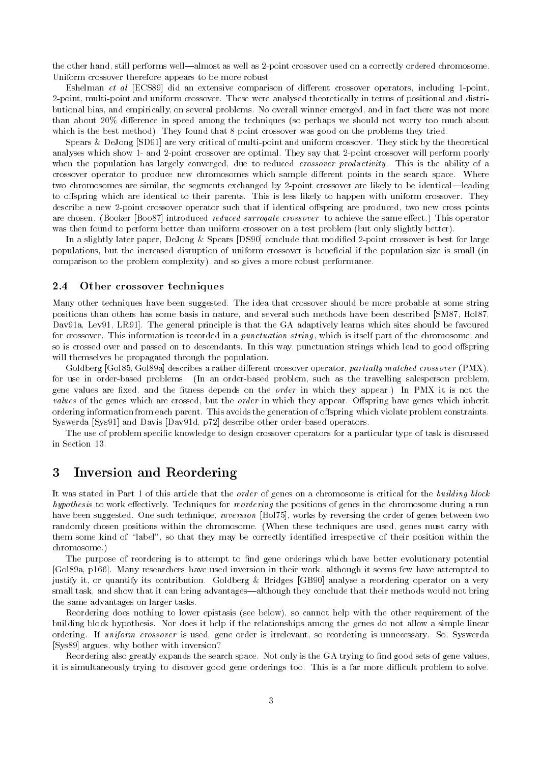the other hand still performs wellalmost as well as -point crossover used on a correctly ordered chromosome Uniform crossover therefore appears to be more robust

erent criticisment op al ECS did an extensive comparisons of different crossover of aborded including a pointe -point multi-point and uniform crossover These were analysed theoretically in terms of positional and distri butional bias, and empirically, on several problems. No overall winner emerged, and in fact there was not more than about 20% difference in speed among the techniques (so perhaps we should not worry too much about which is the best method on the best method on that  $\mathcal{M}$  found that  $\mathcal{M}$ 

Spears DeJong SD are very critical of multi-point and uniform crossover They stick by the theoretical analyses which show are optimal They say that are optimal They say that are optimal They say that are optimal when the population has largely converged, due to reduced *crossover productivity*. This is the ability of a crossover operator to produce new chromosomes which sample different points in the search space. Where two chromosomes are similar the segments exchanged by -identicalleading by -identicalleading by -identicalleading by -identicalleading by -identicalleading by -identicalleading by -identicalleading by -identicalleading by to offspring which are identical to their parents. This is less likely to happen with uniform crossover. They describe a new -point crossover operator such that if identical original produced two news points are chosen. (Booker [Boo87] introduced *reduced surrogate crossover* to achieve the same effect.) This operator was then found to perform better than uniform crossover on a test problem (but only slightly better).

In a slightly later paper DeJong Spears DS conclude that modied -point crossover is best for large populations, but the increased disruption of uniform crossover is beneficial if the population size is small (in comparison to the problem complexity), and so gives a more robust performance.

### 2.4 Other crossover techniques

Many other techniques have been suggested. The idea that crossover should be more probable at some string positions than others has some basis in nature, and several such methods have been described [SM87, Hol87, Dav91a, Lev91, LR91. The general principle is that the GA adaptively learns which sites should be favoured for crossover. This information is recorded in a *punctuation string*, which is itself part of the chromosome, and so is crossed over and passed on to descendants. In this way, punctuation strings which lead to good offspring will themselves be propagated through the population.

Goldberg [Gol85, Gol89a] describes a rather different crossover operator, partially matched crossover (PMX), for use in order-based problems In an order-based problem such as the travelling salesperson problem gene values are fixed, and the fitness depends on the *order* in which they appear.) In PMX it is not the values of the genes which are crossed but the spring in which the complete provide the order in which the spring ordering information from each parent. This avoids the generation of offspring which violate problem constraints. Syswerda Sys and Davis Davd p describe other order-based operators

The use of problem specific knowledge to design crossover operators for a particular type of task is discussed in Section 

#### $\overline{3}$ Inversion and Reordering

It was stated in Part 1 of this article that the *order* of genes on a chromosome is critical for the *building block* hypothesis to work e
ectively Techniques for reordering the positions of genes in the chromosome during a run have been suggested. One such technique, *inversion* [Hol75], works by reversing the order of genes between two randomly chosen positions within the chromosome. (When these techniques are used, genes must carry with them some kind of label so that they may be correctly identied irrespective of their position within the chromosome 

The purpose of reordering is to attempt to find gene orderings which have better evolutionary potential [Gol89a, p166]. Many researchers have used inversion in their work, although it seems few have attempted to justify it, or quantify its contribution. Goldberg & Bridges [GB90] analyse a reordering operator on a very small task, and show that it can bring advantages—although they conclude that their methods would not bring the same advantages on larger tasks

Reordering does nothing to lower epistasis (see below), so cannot help with the other requirement of the building block hypothesis Nor does it help if the relationships among the genes do not allow a simple linear ordering. If uniform crossover is used, gene order is irrelevant, so reordering is unnecessary. So, Syswerda [Sys89] argues, why bother with inversion?

Reordering also greatly expands the search space. Not only is the GA trying to find good sets of gene values, it is simultaneously trying to discover good gene orderings too. This is a far more difficult problem to solve.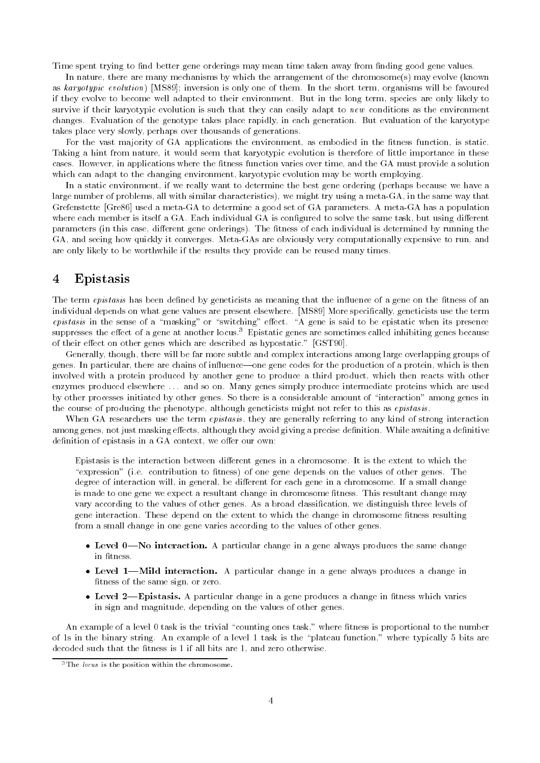Time spent trying to find better gene orderings may mean time taken away from finding good gene values.

In nature, there are many mechanisms by which the arrangement of the chromosome(s) may evolve (known as karyotypic evolution) [MS89]; inversion is only one of them. In the short term, organisms will be favoured if they evolve to become well adapted to their environment. But in the long term, species are only likely to survive if their karyotypic evolution is such that they can easily adapt to new conditions as the environment changes. Evaluation of the genotype takes place rapidly, in each generation. But evaluation of the karyotype takes place very slowly, perhaps over thousands of generations.

For the vast majority of GA applications the environment, as embodied in the fitness function, is static. Taking a hint from nature, it would seem that karyotypic evolution is therefore of little importance in these cases. However, in applications where the fitness function varies over time, and the GA must provide a solution which can adapt to the changing environment, karyotypic evolution may be worth employing.

In a static environment, if we really want to determine the best gene ordering (perhaps because we have a large number of problems all with similar characteristics we might try using a meta-GA in the same way that Greffenstein governog meta- diameter of Ga to determine a good set of Gas parameters a meta- of population a where each member is itself a GA. Each individual GA is configured to solve the same task, but using different parameters (in this case, different gene orderings). The fitness of each individual is determined by running the GA and seeing how quickly it converges Meta-GAs are obviously very computationally expensive to run and are only likely to be worthwhile if the results they provide can be reused many times

## Epistasis

The term *epistasis* has been defined by geneticists as meaning that the influence of a gene on the fitness of an individual depends on what gene values are present elsewhere. [MS89] More specifically, geneticists use the term epistasis in the sense of a masking or switching e
ect A gene is said to be epistatic when its presence suppresses the effect of a gene at another locus. The pistatic genes are sometimes called inhibiting genes because of their effect on other genes which are described as hypostatic." [GST90].

Generally, though, there will be far more subtle and complex interactions among large overlapping groups of genes. In particular, there are chains of influence—one gene codes for the production of a protein, which is then involved with a protein produced by another gene to produce a third product which then reacts with other enzymes produced elsewhere ... and so on. Many genes simply produce intermediate proteins which are used by other processes initiated by other genes So there is a considerable amount of interaction among genes in the course of producing the phenotype, although geneticists might not refer to this as *epistasis*.

When GA researchers use the term *epistasis*, they are generally referring to any kind of strong interaction among genes, not just masking effects, although they avoid giving a precise definition. While awaiting a definitive definition of epistasis in a GA context, we offer our own:

Epistasis is the interaction between different genes in a chromosome. It is the extent to which the expression ie contribution to tness of one gene depends on the values of other genes The degree of interaction will, in general, be different for each gene in a chromosome. If a small change is made to one gene we expect a resultant change in chromosome fitness. This resultant change may vary according to the values of other genes As a broad classication we distinguish three levels of gene interaction. These depend on the extent to which the change in chromosome fitness resulting from a small change in one gene varies according to the values of other genes

- a particular change in a general change in a general produces the same change in fitness.
- Level Mild interaction- A particular change in a gene always produces a change in fitness of the same sign, or zero.
- Level Epistasis- A particular change in a gene produces a change in tness which varies in sign and magnitude, depending on the values of other genes.

An example of a level task is the trivial counting ones task where tness is proportional to the number of the contribution and the binary contribution of a level is the contribution where  $\alpha$  is the contribution where the contribution where  $\alpha$ decoded such that the fitness is  $1$  if all bits are  $1$ , and zero otherwise.

<sup>-</sup>The locus is the position within the chromosome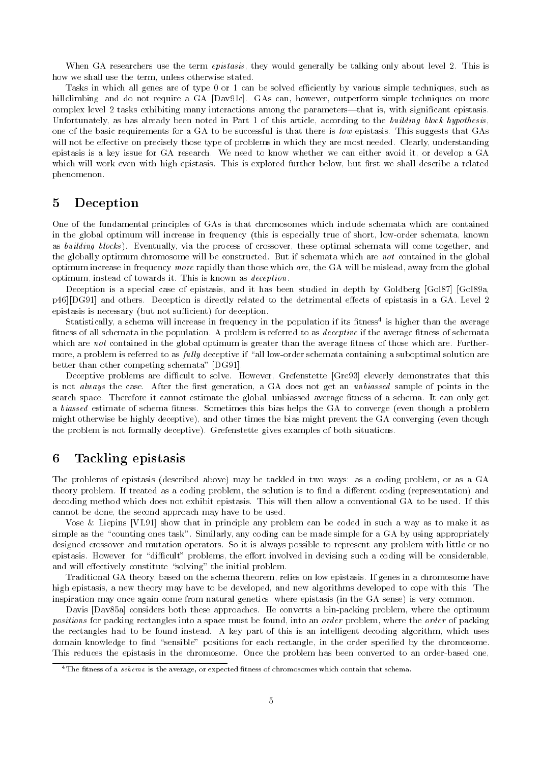When GA researchers use the term *epistasis*, they would generally be talking only about level 2. This is how we shall use the term, unless otherwise stated.

Tasks in which all genes are of type 0 or 1 can be solved efficiently by various simple techniques, such as hillclimbing, and do not require a GA [Dav91c]. GAs can, however, outperform simple techniques on more complex level 2 tasks exhibiting many interactions among the parameters—that is, with significant epistasis. Unfortunately, as has already been noted in Part 1 of this article, according to the building block hypothesis, one of the basic requirements for a GA to be successful is that there is low epistasis This suggests that GAs will not be effective on precisely those type of problems in which they are most needed. Clearly, understanding epistasis is a key issue for GA research. We need to know whether we can either avoid it, or develop a GA which will work even with high epistasis. This is explored further below, but first we shall describe a related phenomenon

#### $\overline{5}$ Deception

One of the fundamental principles of GAs is that chromosomes which include schemata which are contained in the global optimum will increase in frequency this is especially true of short low-order schemata known as building blocks). Eventually, via the process of crossover, these optimal schemata will come together, and the globally optimum chromosome will be constructed. But if schemata which are not contained in the global optimum increase in frequency more rapidly than those which are, the GA will be mislead, away from the global optimum, instead of towards it. This is known as *deception*.

Deception is a special case of epistasis, and it has been studied in depth by Goldberg [Gol87] [Gol89a, p46][DG91] and others. Deception is directly related to the detrimental effects of epistasis in a GA. Level 2 epistasis is necessary (but not sufficient) for deception.

Statistically a schema will increase in frequency in the population if its tness is higher than the average fitness of all schemata in the population. A problem is referred to as *deceptive* if the average fitness of schemata which are not contained in the global optimum is greater than the average tness of those which are Further more a problem is referred to as ful ly deceptive if all low-order schemata containing a suboptimal solution are better than other competing schemata"  $[DG91]$ .

Deceptive problems are difficult to solve. However, Grefenstette [Gre93] cleverly demonstrates that this is not always the case. After the first generation, a GA does not get an unbiassed sample of points in the search space. Therefore it cannot estimate the global, unbiassed average fitness of a schema. It can only get a biassed estimate of schema fitness. Sometimes this bias helps the GA to converge (even though a problem might otherwise be highly deceptive), and other times the bias might prevent the GA converging (even though the problem is not formally deceptive). Grefenstette gives examples of both situations.

#### 6 Tackling epistasis

The problems of epistasis (described above) may be tackled in two ways: as a coding problem, or as a GA theory problem. If treated as a coding problem, the solution is to find a different coding (representation) and decoding method which does not exhibit epistasis. This will then allow a conventional GA to be used. If this cannot be done, the second approach may have to be used.

Vose & Liepins [VL91] show that in principle any problem can be coded in such a way as to make it as simple as the counting ones task Similarly any coding can be made simple for a GA by using appropriately designed crossover and mutation operators. So it is always possible to represent any problem with little or no epistasis However for dicult problems the e
ort involved in devising such a coding will be considerable and will extend the initial problems of the initial problems.

Traditional GA theory, based on the schema theorem, relies on low epistasis. If genes in a chromosome have high epistasis, a new theory may have to be developed, and new algorithms developed to cope with this. The inspiration may once again come from natural genetics, where epistasis (in the GA sense) is very common.

Davis Dava considers both these approaches He converts a bin-packing problem where the optimum positions for packing rectangles into a space must be found into an order problem where the order of packing the rectangles had to be found instead. A key part of this is an intelligent decoding algorithm, which uses domain knowledge to nd sensible positions for each rectangle in the order specied by the chromosome This reduces the epistasis in the chromosome Once the problem has been converted to an order-based one

The tness of a schema is the average or expected tness of chromosomes which contain that schema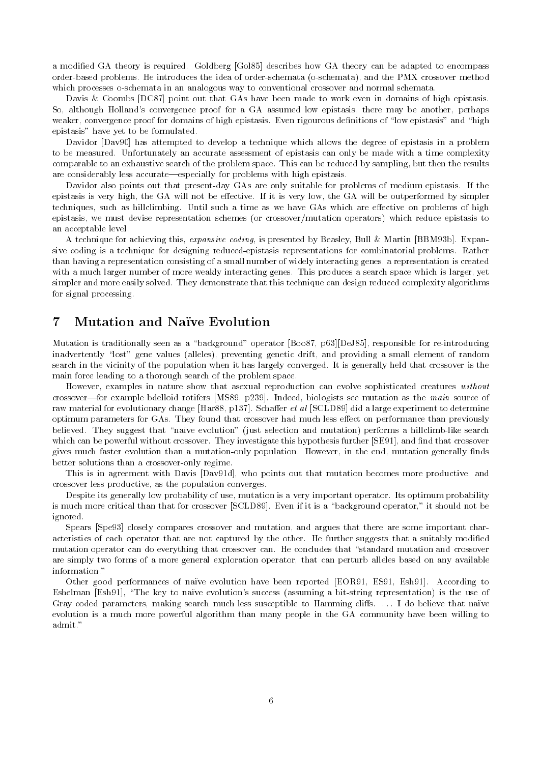a modified GA theory is required. Goldberg [Gol85] describes how GA theory can be adapted to encompass order-control problems He introduces the idea of order-the idea of order-the idea of order-the idea of the idea which processes o-anilogous processes way to convention and normal schemators was another and normal schemator

Davis & Coombs [DC87] point out that GAs have been made to work even in domains of high epistasis. So, although Holland's convergence proof for a GA assumed low epistasis, there may be another, perhaps weaker convergence proof for domains of high epistasis Even rigourous denitions of low epistasis and high epistasis" have yet to be formulated.

Davidor [Dav90] has attempted to develop a technique which allows the degree of epistasis in a problem to be measured. Unfortunately an accurate assessment of epistasis can only be made with a time complexity comparable to an exhaustive search of the problem space. This can be reduced by sampling, but then the results are considerably less accurate—especially for problems with high epistasis.

Davidor also points out that present-day GAs are only suitable for problems of medium epistasis If the epistasis is very high, the GA will not be effective. If it is very low, the GA will be outperformed by simpler techniques, such as hillclimbing. Until such a time as we have GAs which are effective on problems of high epistasis, we must devise representation schemes (or crossover/mutation operators) which reduce epistasis to an acceptable level

a technique for achieving this expansive county-is presented by Beasing-in an ex-more professional Bamb Carl sive coding is a technique for designing reduced-epistasis representations for combinatorial problems Rather than having a representation consisting of a small number of widely interacting genes a representation is created with a much larger number of more weakly interacting genes. This produces a search space which is larger, yet simpler and more easily solved. They demonstrate that this technique can design reduced complexity algorithms for signal processing

## 7 Mutation and Naïve Evolution

Mutation is traditionally seen as a background operator Boo pDeJ responsible for re-introducing inadvertently lost gene values alleles preventing genetic drift and providing a small element of random search in the vicinity of the population when it has largely converged It is generally held that crossover is the main force leading to a thorough search of the problem space

However, examples in nature show that asexual reproduction can evolve sophisticated creatures without crossover—for example bdelloid rotifers [MS89, p239]. Indeed, biologists see mutation as the main source of raw material for evolutionary change [Har88, p137]. Schaffer et al [SCLD89] did a large experiment to determine optimum parameters for GAs. They found that crossover had much less effect on performance than previously believed They suggest that mutation is that the selection and mutation  $p$  performs a mutation and mutation which can be powerful without crossover. They investigate this hypothesis further [SE91], and find that crossover gives much faster evolution than a mutation-only population However in the end mutation generally nds better solutions than a crossover-constructions than a crossover-constructions of  $\mathbf{r}$  and a crossover-constructions of  $\mathbf{r}$ 

This is in agreement with Davis [Dav91d], who points out that mutation becomes more productive, and crossover less productive, as the population converges.

Despite its generally low probability of use, mutation is a very important operator. Its optimum probability is more more critical than that for crossover  $\mu$  can be specified in a should even if it is a should not be ignored

Spears Spe closely compares crossover and mutation and argues that there are some important char acteristics of each operator that are not captured by the other. He further suggests that a suitably modified mutation operator can do everything that crossover can He concludes that standard mutation and crossover are simply two forms of a more general exploration operator, that can perturb alleles based on any available information."

Other good performances of naïve evolution have been reported [EOR91, ES91, Esh91]. According to Eshelman Esh The key to na ve evolutions success assuming a bit-string representation is the use of Gray coded parameters, making search much less susceptible to Hamming cliffs. ... I do believe that naïve evolution is a much more powerful algorithm than many people in the GA community have been willing to admit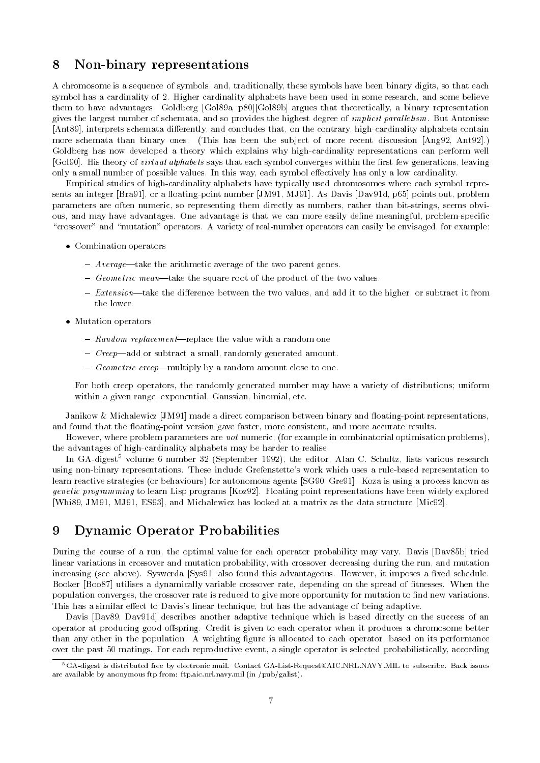## Non binary representations

A chromosome is a sequence of symbols, and, traditionally, these symbols have been binary digits, so that each symbol has a cardinality of 2. Higher cardinality alphabets have been used in some research, and some believe them to have advantages. Goldberg [Gol89a, p80][Gol89b] argues that theoretically, a binary representation gives the largest number of schemata, and so provides the highest degree of *implicit parallelism*. But Antonisse Ant interprets schemata di
erently and concludes that on the contrary high-cardinality alphabets contain more schemata than binary ones. (This has been the subject of more recent discussion  $[Ang 92, Ant 92]$ .) Goldberg has now developed a theory which explains why high-cardinality representations can perform well [Gol90]. His theory of *virtual alphabets* says that each symbol converges within the first few generations, leaving only a small number of possible values. In this way, each symbol effectively has only a low cardinality.

Empirical studies of high-cardinality alphabets have typically used chromosomes where each symbol repre sents an integer points of the continuity point interests of points of the matrix of problems out problems. parameters are often numeric so representing them directly as numbers rather than bit-strings seems obvi ous and may have advantages One advantage is that we can more easily dene meaningful problem-specic crossover and mutation operators A variety of real-number operators can easily be envisaged for example

- Combination operators
	- $A \textit{verage}$  Average-take the arithmetic average of the two parent genes.
	- Geometric meantake the square-root of the product of the two values
	- $-$  Extension—take the difference between the two values, and add it to the higher, or subtract it from the lower
- Mutation operators
	- Random replacement-replace the value with a random one
	- $\overline{C}$  Creep—add or subtract a small, randomly generated amount.
	- Geometric creep—multiply by a random amount close to one.

For both creep operators, the randomly generated number may have a variety of distributions; uniform within a given range, exponential, Gaussian, binomial, etc.

Janikow Michalewicz JM made a direct comparison between binary and oating-point representations and found that the morning-point version gave faster more consistent and more consistent faster

However, where problem parameters are not numeric, (for example in combinatorial optimisation problems), the advantages of high-cardinality alphabets may be harder to realise

In GA-digest volume o number 32 (September 1992), the editor, Alan C. Schultz, lists various research using non-binary representations These include Grefenstettes work which uses a rule-based representation to learn reactive strategies (or behaviours) for autonomous agents [SG90, Gre91]. Koza is using a process known as genetic programming to learn Lisp programs [Koz92]. Floating point representations have been widely explored [Whi89, JM91, MJ91, ES93], and Michalewicz has looked at a matrix as the data structure [Mic92].

#### 9 Dynamic Operator Probabilities

During the course of a run, the optimal value for each operator probability may vary. Davis [Dav85b] tried linear variations in crossover and mutation probability, with crossover decreasing during the run, and mutation increasing (see above). Syswerda [Sys91] also found this advantageous. However, it imposes a fixed schedule. Booker [Boo87] utilises a dynamically variable crossover rate, depending on the spread of fitnesses. When the population converges, the crossover rate is reduced to give more opportunity for mutation to find new variations. This has a similar effect to Davis's linear technique, but has the advantage of being adaptive.

Davis [Dav89, Dav91d] describes another adaptive technique which is based directly on the success of an operator at producing good offspring. Credit is given to each operator when it produces a chromosome better than any other in the population. A weighting figure is allocated to each operator, based on its performance over the past 50 matings. For each reproductive event, a single operator is selected probabilistically, according

<sup>&</sup>quot;GA-digest is distributed free by electronic mail. Contact GA-List-Request@AIC.NRLNAVY.MIL to subscribe. Dack issues are available by anonymous ftp from: ftp.aic.nrl.navy.mil (in /pub/galist).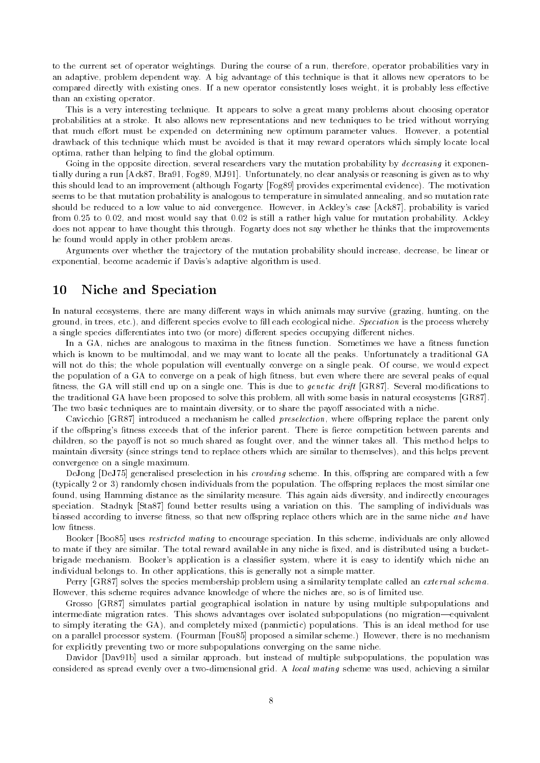to the current set of operator weightings During the course of a run therefore operator probabilities vary in an adaptive problem dependent way A big advantage of this technique is that it allows new operators to be compared directly with existing ones. If a new operator consistently loses weight, it is probably less effective than an existing operator

This is a very interesting technique It appears to solve a great many problems about choosing operator probabilities at a stroke It also allows new representations and new techniques to be tried without worrying that much effort must be expended on determining new optimum parameter values. However, a potential drawback of this technique which must be avoided is that it may reward operators which simply locate local optima, rather than helping to find the global optimum.

Going in the opposite direction several researchers vary the mutation probability by decreasing it exponen tially during a run [Ack87, Bra91, Fog89, MJ91]. Unfortunately, no clear analysis or reasoning is given as to why this should lead to an improvement (although Fogarty [Fog89] provides experimental evidence). The motivation seems to be that mutation probability is analogous to temperature in simulated annealing, and so mutation rate should be reduced to a low value to aid convergence. However, in Ackley's case [Ack87], probability is varied from  $0.25$  to  $0.02$ , and most would say that  $0.02$  is still a rather high value for mutation probability. Ackley does not appear to have thought this through. Fogarty does not say whether he thinks that the improvements he found would apply in other problem areas

Arguments over whether the trajectory of the mutation probability should increase, decrease, be linear or exponential, become academic if Davis's adaptive algorithm is used.

## 10 Niche and Speciation

In natural ecosystems, there are many different ways in which animals may survive (grazing, hunting, on the ground, in trees, etc.), and different species evolve to fill each ecological niche. Speciation is the process whereby a single species differentiates into two (or more) different species occupying different niches.

In a GA, niches are analogous to maxima in the fitness function. Sometimes we have a fitness function which is known to be multimodal, and we may want to locate all the peaks. Unfortunately a traditional GA will not do this; the whole population will eventually converge on a single peak. Of course, we would expect the population of a GA to converge on a peak of high fitness, but even where there are several peaks of equal fitness, the GA will still end up on a single one. This is due to *genetic drift* [GR87]. Several modifications to the traditional GA have been proposed to solve this problem, all with some basis in natural ecosystems [GR87]. The two basic techniques are to maintain diversity, or to share the payoff associated with a niche.

Cavicchio  $[GR87]$  introduced a mechanism he called *preselection*, where offspring replace the parent only if the offspring's fitness exceeds that of the inferior parent. There is fierce competition between parents and children, so the payoff is not so much shared as fought over, and the winner takes all. This method helps to maintain diversity (since strings tend to replace others which are similar to themselves), and this helps prevent convergence on a single maximum

DeJong [DeJ75] generalised preselection in his *crowding* scheme. In this, offspring are compared with a few (typically 2 or 3) randomly chosen individuals from the population. The offspring replaces the most similar one found, using Hamming distance as the similarity measure. This again aids diversity, and indirectly encourages speciation. Stadnyk [Sta 87] found better results using a variation on this. The sampling of individuals was biassed according to inverse fitness, so that new offspring replace others which are in the same niche and have low fitness.

Booker [Boo85] uses *restricted mating* to encourage speciation. In this scheme, individuals are only allowed to mate if they are similar The total reward available in any niche is xed and is distributed using a bucket brigade mechanism. Booker's application is a classifier system, where it is easy to identify which niche an individual belongs to. In other applications, this is generally not a simple matter.

Perry [GR87] solves the species membership problem using a similarity template called an *external schema*. However, this scheme requires advance knowledge of where the niches are, so is of limited use.

Grosso [GR87] simulates partial geographical isolation in nature by using multiple subpopulations and intermediate migration rates. This shows advantages over isolated subpopulations (no migration-equivalent to simply iterating the GA), and completely mixed (panmictic) populations. This is an ideal method for use on a parallel processor system. (Fourman [Fou 85] proposed a similar scheme.) However, there is no mechanism for explicitly preventing two or more subpopulations converging on the same niche

Davidor [Dav91b] used a similar approach, but instead of multiple subpopulations, the population was considered as spread evenly over a two-dimensional grid in technique was used, denote a similar and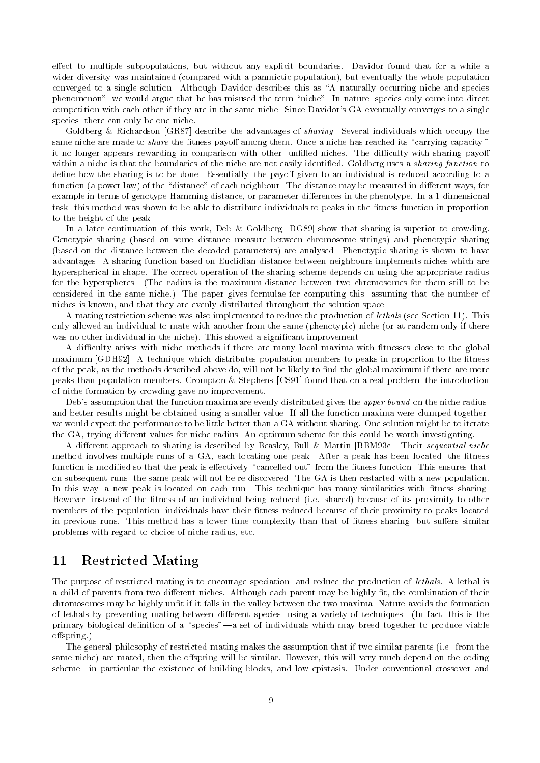effect to multiple subpopulations, but without any explicit boundaries. Davidor found that for a while a wider diversity was maintained (compared with a panmictic population), but eventually the whole population converged to a single solution Although Davidor describes this as A naturally occurring niche and species phenomenon we would argue that he has misused the term niche In nature species only come into direct competition with each other if they are in the same niche. Since Davidor's GA eventually converges to a single species, there can only be one niche.

Goldberg & Richardson [GR87] describe the advantages of sharing. Several individuals which occupy the same meent are made to share the masses payon among them. Once a ment nad reached its carrying capacity it no longer appears rewarding in comparison with other, unfilled niches. The difficulty with sharing payoff within a niche is that the boundaries of the niche are not easily identified. Goldberg uses a *sharing function* to define how the sharing is to be done. Essentially, the payoff given to an individual is reduced according to a function a power law of the distance of each neighbour The distance may be measured in di
erent ways for example in terms of genotype Hamming distance or parameter di
erences in the phenotype In a -dimensional task, this method was shown to be able to distribute individuals to peaks in the fitness function in proportion to the height of the peak

In a later continuation of this work, Deb & Goldberg  $[DGS9]$  show that sharing is superior to crowding. Genotypic sharing (based on some distance measure between chromosome strings) and phenotypic sharing (based on the distance between the decoded parameters) are analysed. Phenotypic sharing is shown to have advantages A sharing function based on Euclidian distance between neighbours implements niches which are hyperspherical in shape. The correct operation of the sharing scheme depends on using the appropriate radius for the hyperspheres. (The radius is the maximum distance between two chromosomes for them still to be considered in the same niche.) The paper gives formulae for computing this, assuming that the number of niches is known, and that they are evenly distributed throughout the solution space.

A mating restriction scheme was also implemented to reduce the production of *lethals* (see Section 11). This only allowed an individual to mate with another from the same (phenotypic) niche (or at random only if there was no other individual in the niche. This showed a significant improvement.

A difficulty arises with niche methods if there are many local maxima with fitnesses close to the global maximum [GDH92]. A technique which distributes population members to peaks in proportion to the fitness of the peak, as the methods described above do, will not be likely to find the global maximum if there are more peaks than population members. Crompton & Stephens [CS91] found that on a real problem, the introduction of niche formation by crowding gave no improvement

Deb's assumption that the function maxima are evenly distributed gives the upper bound on the niche radius, and better results might be obtained using a smaller value. If all the function maxima were clumped together, we would expect the performance to be little better than a GA without sharing. One solution might be to iterate the GA, trying different values for niche radius. An optimum scheme for this could be worth investigating.

A different approach to sharing is described by Beasley, Bull & Martin [BBM93c]. Their sequential niche method involves multiple runs of a GA, each locating one peak. After a peak has been located, the fitness function is modied so that the peak is e
ectively cancelled out from the tness function This ensures that on subsequent runs the same peak will not be re-discovered The GA is then restarted with a new population In this way, a new peak is located on each run. This technique has many similarities with fitness sharing. However, instead of the fitness of an individual being reduced (i.e. shared) because of its proximity to other members of the population, individuals have their fitness reduced because of their proximity to peaks located in previous runs. This method has a lower time complexity than that of fitness sharing, but suffers similar problems with regard to choice of niche radius, etc.

#### $11$ Restricted Mating

The purpose of restricted mating is to encourage speciation, and reduce the production of *lethals*. A lethal is a child of parents from two different niches. Although each parent may be highly fit, the combination of their chromosomes may be highly unfit if it falls in the valley between the two maxima. Nature avoids the formation of lethals by preventing mating between different species, using a variety of techniques. (In fact, this is the primary biological denition of a speciesa set of individuals which may breed together to produce viable offspring.)

The general philosophy of restricted mating makes the assumption that if two similar parents (i.e. from the same niche) are mated, then the offspring will be similar. However, this will very much depend on the coding scheme—in particular the existence of building blocks, and low epistasis. Under conventional crossover and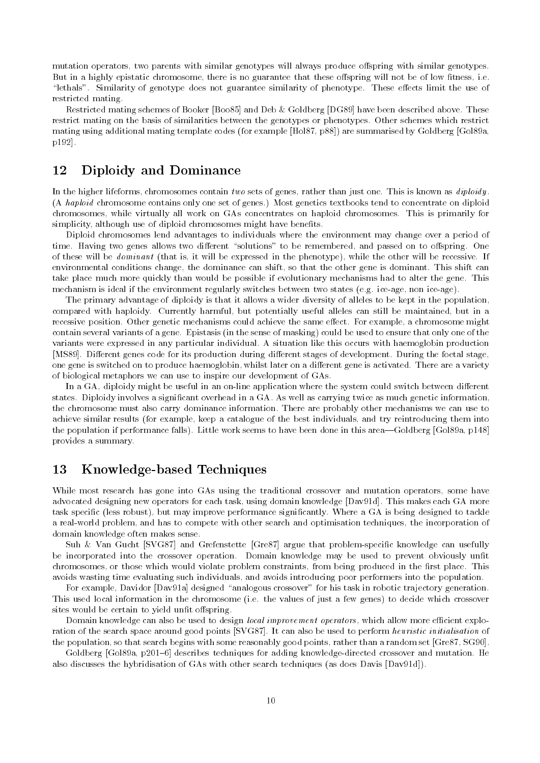mutation operators, two parents with similar genotypes will always produce offspring with similar genotypes. But in a highly epistatic chromosome, there is no guarantee that these offspring will not be of low fitness, i.e. lethals Similarity of genotype does not guarantee similarity of phenotype These e
ects limit the use of restricted mating

Restricted mating schemes of Booker [Boo85] and Deb & Goldberg [DG89] have been described above. These restrict mating on the basis of similarities between the genotypes or phenotypes Other schemes which restrict mating using additional mating template codes (for example  $[Hol87, p88]$ ) are summarised by Goldberg [Gol89a, p192.

#### $12$ Diploidy and Dominance

In the higher lifeforms, chromosomes contain two sets of genes, rather than just one. This is known as diploidy. (A haploid chromosome contains only one set of genes.) Most genetics textbooks tend to concentrate on diploid chromosomes while virtually all work on GAs concentrates on haploid chromosomes This is primarily for simplicity, although use of diploid chromosomes might have benefits.

Diploid chromosomes lend advantages to individuals where the environment may change over a period of time Having two genes allows two di
erent solutions to be remembered and passed on to o
spring One of these will be *dominant* (that is, it will be expressed in the phenotype), while the other will be recessive. If environmental conditions change, the dominance can shift, so that the other gene is dominant. This shift can take place much more quickly than would be possible if evolutionary mechanisms had to alter the gene This mechanism is ideal if the environment regularly switches between two states eg ice-age non ice-age 

The primary advantage of diploidy is that it allows a wider diversity of alleles to be kept in the population compared with haploidy. Currently harmful, but potentially useful alleles can still be maintained, but in a recessive position. Other genetic mechanisms could achieve the same effect. For example, a chromosome might contain several variants of a gene. Epistasis (in the sense of masking) could be used to ensure that only one of the variants were expressed in any particular individual A situation like this occurs with haemoglobin production [MS89]. Different genes code for its production during different stages of development. During the foetal stage, one gene is switched on to produce haemoglobin, whilst later on a different gene is activated. There are a variety of biological metaphors we can use to inspire our development of GAs

In a GA diploidy might be useful in an on-line application where the system could switch between di
erent states. Diploidy involves a significant overhead in a GA. As well as carrying twice as much genetic information, the chromosome must also carry dominance information There are probably other mechanisms we can use to achieve similar results (for example, keep a catalogue of the best individuals, and try reintroducing them into the population if performance falls). Little work seems to have been done in this area—Goldberg [Gol89a, p148] provides a summary

#### 13 Knowledge based Techniques

While most research has gone into GAs using the traditional crossover and mutation operators, some have advocated designing new operators for each task, using domain knowledge [Dav91d]. This makes each GA more task specific (less robust), but may improve performance significantly. Where a GA is being designed to tackle a real-world problem and has to compete with other search and optimisation techniques the incorporation of domain knowledge often makes sense

Suh Van Gucht SVG and Grefenstette Gre argue that problem-specic knowledge can usefully be incorporated into the crossover operation. Domain knowledge may be used to prevent obviously unfit chromosomes, or those which would violate problem constraints, from being produced in the first place. This avoids wasting time evaluating such individuals, and avoids introducing poor performers into the population.

For example Davidor Dava designed analogous crossover for his task in robotic trajectory generation This used local information in the chromosome (i.e. the values of just a few genes) to decide which crossover sites would be certain to yield unfit offspring.

Domain knowledge can also be used to design local improvement operators which allow more ecient explo ration of the search space around good points [SVG87]. It can also be used to perform heuristic initialisation of the population, so that search begins with some reasonably good points, rather than a random set [Gre87, SG90].

Goldberg Gola p! describes techniques for adding knowledge-directed crossover and mutation He also discusses the hybridisation of GAs with other search techniques (as does Davis  $[Day91d]$ ).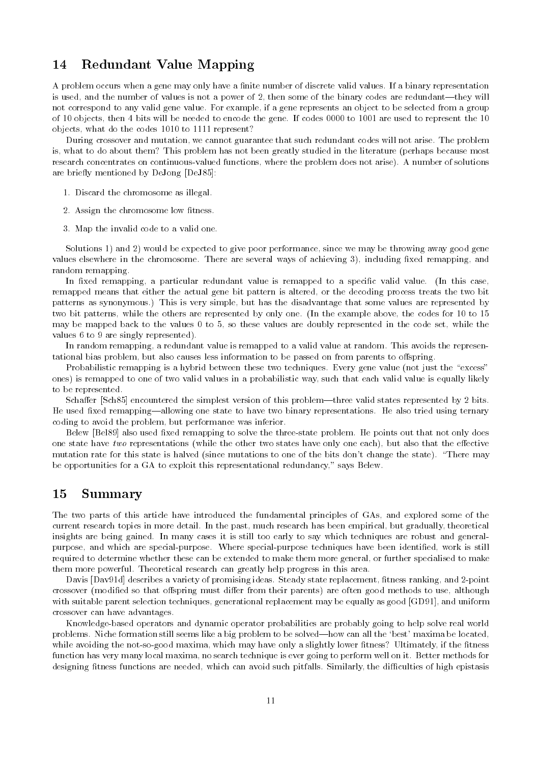#### 14 Redundant Value Mapping

A problem occurs when a gene may only have a finite number of discrete valid values. If a binary representation is used, and the number of values is not a power of 2, then some of the binary codes are redundant—they will not correspond to any valid gene value. For example, if a gene represents an object to be selected from a group of 10 objects, then 4 bits will be needed to encode the gene. If codes 0000 to 1001 are used to represent the 10 objects, what do the codes 1010 to 1111 represent?

During crossover and mutation, we cannot guarantee that such redundant codes will not arise. The problem is, what to do about them? This problem has not been greatly studied in the literature (perhaps because most research concentrates on continuous-different functions where the problem does not arise of solutions where the problem does not arise of solutions where the problem does not arise of solutions where the problem does not a are briefly mentioned by DeJong [DeJ85]:

- 1. Discard the chromosome as illegal.
- 2. Assign the chromosome low fitness.
- 3. Map the invalid code to a valid one.

Solutions 1) and 2) would be expected to give poor performance, since we may be throwing away good gene values elsewhere in the chromosome. There are several ways of achieving 3), including fixed remapping, and random remapping

In fixed remapping, a particular redundant value is remapped to a specific valid value. (In this case, remapped means that either the actual gene bit pattern is altered, or the decoding process treats the two bit patterns as synonymous.) This is very simple, but has the disadvantage that some values are represented by two bit patterns, while the others are represented by only one. (In the example above, the codes for 10 to 15 may be mapped back to the values  $0$  to  $5$ , so these values are doubly represented in the code set, while the values  $6 \text{ to } 9$  are singly represented).

In random remapping a redundant value is remapped to a valid value at random This avoids the represen tational bias problem, but also causes less information to be passed on from parents to offspring.

Probabilistic remapping is a hybrid between these two techniques Every gene value not just the excess ones) is remapped to one of two valid values in a probabilistic way, such that each valid value is equally likely to be represented

Schaffer [Sch85] encountered the simplest version of this problem—three valid states represented by 2 bits. He used fixed remapping—allowing one state to have two binary representations. He also tried using ternary coding to avoid the problem, but performance was inferior.

Belew Bel also used xed remapping to solve the three-state problem He points out that not only does one state have two representations (while the other two states have only one each), but also that the effective mutation rate is halved since  $\mathbf n$  . There mutations to one of the bits dont change the state  $\mathbf n$ be opportunities for a GA to exploit this representational redundancy," says Belew.

#### 15 Summary

The two parts of this article have introduced the fundamental principles of GAs and explored some of the current research topics in more detail. In the past, much research has been empirical, but gradually, theoretical insights are being gained In many cases it is still too early to say which techniques are robust and general purpose and which are special-purpose Where special-purpose techniques have been identied work is still required to determine whether these can be extended to make them more general or further specialised to make them more powerful. Theoretical research can greatly help progress in this area.

Davis Davd describes a variety of promising ideas Steady state replacement tness ranking and -point crossover (modified so that offspring must differ from their parents) are often good methods to use, although with suitable parent selection techniques, generational replacement may be equally as good  $[GD91]$ , and uniform crossover can have advantages

Knowledge-based operators and dynamic operator probabilities are probably going to help solve real world problems. Niche formation still seems like a big problem to be solved—how can all the 'best' maxima be located, while avoiding the not-so-good maximum which may have only a slightly lower the theory, if the the the t function has very many local maxima, no search technique is ever going to perform well on it. Better methods for designing fitness functions are needed, which can avoid such pitfalls. Similarly, the difficulties of high epistasis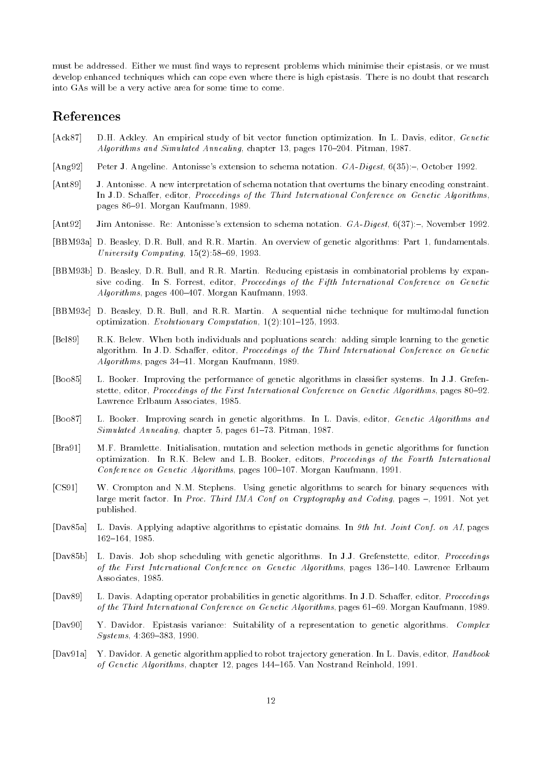must be addressed. Either we must find ways to represent problems which minimise their epistasis, or we must develop enhanced techniques which can cope even where there is high epistasis There is no doubt that research into GAs will be a very active area for some time to come

## References

- [Ack 87] D.H. Ackley. An empirical study of bit vector function optimization. In L. Davis, editor, Genetic Algorithms and Simulated Annealing, chapter 13, pages 170-204. Pitman, 1987.
- [Ang 92] Peter J. Angeline. Antonisse's extension to schema notation.  $GA\text{-}Digest$ ,  $6(35)$  :-, October 1992.
- [Ant 89] J. Antonisse. A new interpretation of schema notation that overturns the binary encoding constraint. In J.D. Schaffer, editor, *Proceedings of the Third International Conference on Genetic Algorithms*, pages 86-91. Morgan Kaufmann, 1989.
- [Ant 92] Jim Antonisse. Re: Antonisse's extension to schema notation.  $GA\text{-}Digest$ , 6(37):-, November 1992.
- [BBM93a] D. Beasley, D.R. Bull, and R.R. Martin. An overview of genetic algorithms: Part 1, fundamentals. University Computing,  $15(2)$ :58-69, 1993.
- BBMb D Beasley DR Bull and RR Martin Reducing epistasis in combinatorial problems by expan sive coding. In S. Forrest, editor, *Proceedings of the Fifth International Conference on Genetic*  $Algorithms$ , pages  $400-407$ . Morgan Kaufmann, 1993.
- [BBM93c] D. Beasley, D.R. Bull, and R.R. Martin. A sequential niche technique for multimodal function optimization. Evolutionary Computation,  $1(2)$ :101-125, 1993.
- [Bel89] R.K. Belew. When both individuals and popluations search: adding simple learning to the genetic algorithm. In J.D. Schaffer, editor, Proceedings of the Third International Conference on Genetic  $Algorithms$ , pages 34-41. Morgan Kaufmann, 1989.
- Boo L Booker Improving the performance of genetic algorithms in classier systems In JJ Grefen stette, editor, Proceedings of the First International Conference on Genetic Algorithms, pages 80–92. Lawrence Erlbaum Associates
- [Boo87] L. Booker. Improving search in genetic algorithms. In L. Davis, editor, Genetic Algorithms and  $Simulated \ An \nnealing$ , chapter 5, pages 61–73. Pitman, 1987.
- [Bra91] M.F. Bramlette. Initialisation, mutation and selection methods in genetic algorithms for function optimization. In R.K. Belew and L.B. Booker, editors, Proceedings of the Fourth International Conference on Genetic Algorithms, pages 100-107. Morgan Kaufmann, 1991.
- [CS91] W. Crompton and N.M. Stephens. Using genetic algorithms to search for binary sequences with large merit factor. In Proc. Third IMA Conf on Cryptography and Coding, pages  $-$ , 1991. Not yet published
- [Dav85a] L. Davis. Applying adaptive algorithms to epistatic domains. In  $9th$  Int. Joint Conf. on AI, pages  $162 - 164$ , 1985.
- [Dav85b] L. Davis. Job shop scheduling with genetic algorithms. In J.J. Grefenstette, editor, *Proceedings* of the First International Conference on Genetic Algorithms, pages 136-140. Lawrence Erlbaum Associates, 1985.
- [Dav89] L. Davis. Adapting operator probabilities in genetic algorithms. In J.D. Schaffer, editor, *Proceedings* of the Third International Conference on Genetic Algorithms, pages 61–69. Morgan Kaufmann, 1989.
- [Dav90] Y. Davidor. Epistasis variance: Suitability of a representation to genetic algorithms. Complex  $S$ *ystems*, 4:369-383, 1990.
- [Dav91a] Y. Davidor. A genetic algorithm applied to robot trajectory generation. In L. Davis, editor, Handbook of Genetic Algorithms, chapter 12, pages 144-165. Van Nostrand Reinhold, 1991.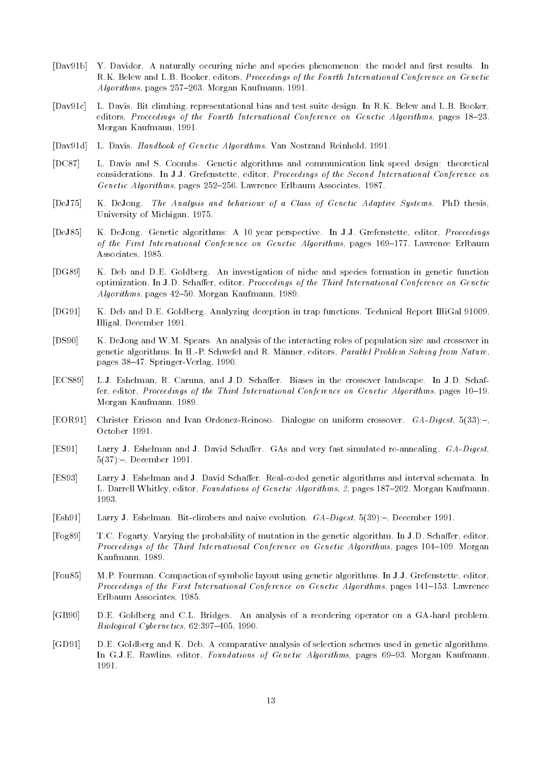- [Dav91b] Y. Davidor. A naturally occuring niche and species phenomenon: the model and first results. In R.K. Belew and L.B. Booker, editors, Proceedings of the Fourth International Conference on Genetic  $Algorithms$ , pages  $257-263$ . Morgan Kaufmann, 1991.
- [Dav91c] L. Davis. Bit climbing representational bias and test suite design. In R.K. Belew and L.B. Booker.  $r_{\text{e}}$  editors, Proceedings of the Fourth International Conference on Genetic Algorithms, pages  $18-23$ . Morgan Kaufmann
- [Dav91d] L. Davis. Handbook of Genetic Algorithms. Van Nostrand Reinhold, 1991.
- [DC87] L. Davis and S. Coombs. Genetic algorithms and communication link speed design: theoretical considerations. In J.J. Grefenstette, editor, Proceedings of the Second International Conference on Genetic Algorithms, pages  $252-256$ . Lawrence Erlbaum Associates, 1987.
- [DeJ75] K. DeJong. The Analysis and behaviour of a Class of Genetic Adaptive Systems. PhD thesis, University of Michigan, 1975.
- [DeJ85] K. DeJong. Genetic algorithms: A 10 year perspective. In J.J. Grefenstette, editor, Proceedings of the First International Conference on Genetic Algorithms, pages 169-177. Lawrence Erlbaum Associates, 1985.
- [DG89] K. Deb and D.E. Goldberg. An investigation of niche and species formation in genetic function optimization. In J.D. Schaffer, editor, Proceedings of the Third International Conference on Genetic  $Algorithms$ , pages  $42-50$ . Morgan Kaufmann, 1989.
- [DG91] K. Deb and D.E. Goldberg. Analyzing deception in trap functions. Technical Report IlliGal 91009, Illigal, December 1991.
- [DS90] K. DeJong and W.M. Spears. An analysis of the interacting roles of population size and crossover in geneers algorithms In H- B ( and R Manner and R Manner ) called the Manner Solving from Nature pages ! Springer-Verlag
- ection and the cross-control and Junioral and Junior Landscape In Junior Landscape In Junior Landscape In Junior fer, editor, Proceedings of the Third International Conference on Genetic Algorithms, pages  $10-19$ . Morgan Kaufmann
- EOR Christer Ericson and Ivan Ordonez-Reinoso Dialogue on uniform crossover GADigest ! October 1991.
- ES Larry J Eshelman and J David Scha
er GAs and very fast simulated re-annealing GADigest  $5(37)$ :-, December 1991.
- er algorithman and J David Schemata Interval schemata Interval schemata Interval schemata Interval schematori . Let be a construct the control of Genetic Algorithms-Control and Algorithms-Control and Algorithms-Control an 1993.
- Esh Larry J Eshelman Bit-climbers and naive evolution GADigest ! December
- [Fog89] T.C. Fogarty. Varying the probability of mutation in the genetic algorithm. In J.D. Schaffer, editor, Proceedings of the Third International Conference on Genetic Algorithms, pages 104-109. Morgan Kaufmann, 1989.
- [Fou85] M.P. Fourman. Compaction of symbolic layout using genetic algorithms. In J.J. Grefenstette, editor, Proceedings of the First International Conference on Genetic Algorithms, pages 141-153. Lawrence Erlbaum Associates
- GB DE Goldberg and CL Bridges An analysis of a reordering operator on a GA-hard problem  $Biological Cybernetics, 62:397-405, 1990.$
- [GD91] D.E. Goldberg and K. Deb. A comparative analysis of selection schemes used in genetic algorithms. In G.J.E. Rawlins, editor, Foundations of Genetic Algorithms, pages 69-93. Morgan Kaufmann, 1991.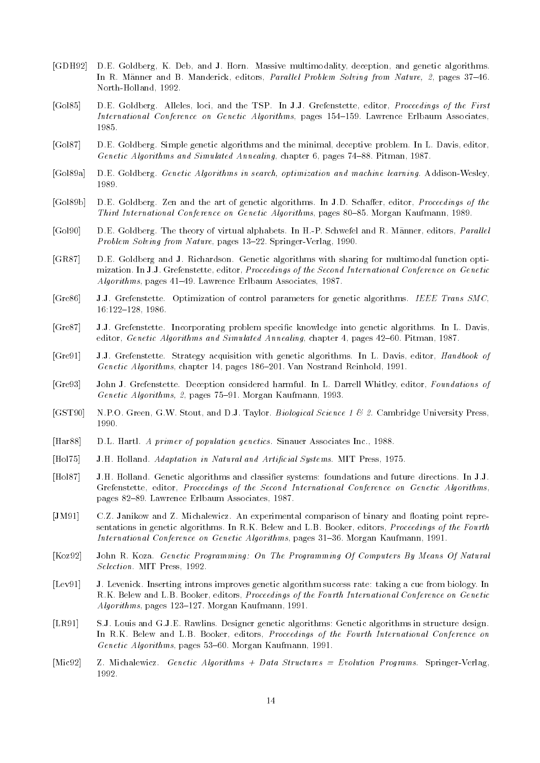- [GDH92] D.E. Goldberg, K. Deb, and J. Horn. Massive multimodality, deception, and genetic algorithms. an av manner and B Manderick entrance a minute of the Mandele Problem Solving from Nature-Solving Solving (197 north-month-month-month-
- [Gol85] D.E. Goldberg. Alleles, loci, and the TSP. In J.J. Grefenstette, editor, *Proceedings of the First* International Conference on Genetic Algorithms, pages 154–159. Lawrence Erlbaum Associates,
- [Gol87] D.E. Goldberg. Simple genetic algorithms and the minimal, deceptive problem. In L. Davis, editor, Genetic Algorithms and Simulated Annealing, chapter  $6$ , pages  $74-88$ . Pitman, 1987.
- Gola DE Goldberg Genetic Algorithms in search- optimization and machine learning Addison-Wesley 1989.
- [Gol89b] D.E. Goldberg. Zen and the art of genetic algorithms. In J.D. Schaffer, editor, *Proceedings of the* Third International Conference on Genetic Algorithms, pages 80-85. Morgan Kaufmann, 1989.
- Gol DE Goldberg The theory of virtual alphabets In H-P Schwefel and R Manner editors Paral lel Problem Solving from Nature pages ! Springer-Verlag
- GR DE Goldberg and J Richardson Genetic algorithms with sharing for multimodal function opti mization. In J.J. Grefenstette, editor, Proceedings of the Second International Conference on Genetic  $Algorithms$ , pages 41-49. Lawrence Erlbaum Associates, 1987.
- [Gre86] J.J. Grefenstette. Optimization of control parameters for genetic algorithms. IEEE Trans SMC,  $16:122-128, 1986.$
- [Gre87] J.J. Grefenstette. Incorporating problem specific knowledge into genetic algorithms. In L. Davis, editor, Genetic Algorithms and Simulated Annealing, chapter 4, pages  $42-60$ . Pitman, 1987.
- [Gre91] J.J. Grefenstette. Strategy acquisition with genetic algorithms. In L. Davis, editor, Handbook of Genetic Algorithms, chapter 14, pages 186-201. Van Nostrand Reinhold, 1991.
- [Gre93] John J. Grefenstette. Deception considered harmful. In L. Darrell Whitley, editor, Foundations of Genetic Algorithms-1 Morgan Co. - Algorithms-Algorithms-Algorithms-1 Morgan Kaufmann
- [GST90] N.P.O. Green, G.W. Stout, and D.J. Taylor. *Biological Science 1 & 2*. Cambridge University Press, 1990.
- [Har 88] D.L. Hartl. A primer of population genetics. Sinauer Associates Inc., 1988.
- [Hol 75] J.H. Holland. Adaptation in Natural and Artificial Systems. MIT Press, 1975.
- [Hol87] J.H. Holland. Genetic algorithms and classifier systems: foundations and future directions. In J.J. Grefenstette, editor, Proceedings of the Second International Conference on Genetic Algorithms, pages 82-89. Lawrence Erlbaum Associates, 1987.
- JM CZ Janikow and Z Michalewicz An experimental comparison of binary and oating point representation of binary and oating point representation of binary and oating point representation of binary and oating point represent sentations in genetic algorithms. In R.K. Belew and L.B. Booker, editors, *Proceedings of the Fourth* International Conference on Genetic Algorithms, pages 31–36. Morgan Kaufmann, 1991.
- [Koz 92] John R. Koza. Genetic Programming: On The Programming Of Computers By Means Of Natural Selection. MIT Press, 1992.
- [Lev91] J. Levenick. Inserting introns improves genetic algorithm success rate: taking a cue from biology. In R.K. Belew and L.B. Booker, editors, Proceedings of the Fourth International Conference on Genetic  $Algorithms$ , pages 123-127. Morgan Kaufmann, 1991.
- [LR91] S.J. Louis and G.J.E. Rawlins. Designer genetic algorithms: Genetic algorithms in structure design. In R.K. Belew and L.B. Booker, editors, Proceedings of the Fourth International Conference on Genetic Algorithms, pages  $53-60$ . Morgan Kaufmann, 1991.
- michalewicz Data Structure Structure and Structures and Structures and Structures Programs Programs Springer-1992.